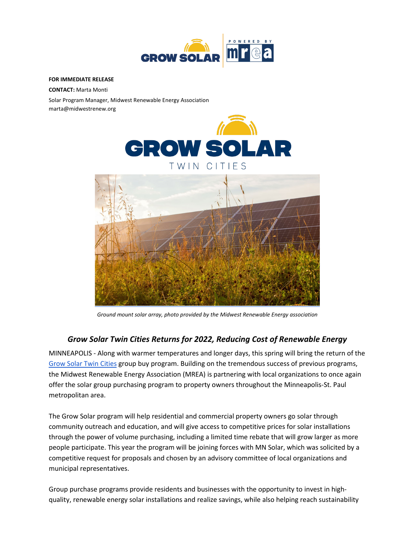

## **FOR IMMEDIATE RELEASE**

**CONTACT:** Marta Monti

Solar Program Manager, Midwest Renewable Energy Association marta@midwestrenew.org





*Ground mount solar array, photo provided by the Midwest Renewable Energy association*

## *Grow Solar Twin Cities Returns for 2022, Reducing Cost of Renewable Energy*

MINNEAPOLIS - Along with warmer temperatures and longer days, this spring will bring the return of the Grow Solar Twin Cities group buy program. Building on the tremendous success of previous programs, the Midwest Renewable Energy Association (MREA) is partnering with local organizations to once again offer the solar group purchasing program to property owners throughout the Minneapolis-St. Paul metropolitan area.

The Grow Solar program will help residential and commercial property owners go solar through community outreach and education, and will give access to competitive prices for solar installations through the power of volume purchasing, including a limited time rebate that will grow larger as more people participate. This year the program will be joining forces with MN Solar, which was solicited by a competitive request for proposals and chosen by an advisory committee of local organizations and municipal representatives.

Group purchase programs provide residents and businesses with the opportunity to invest in highquality, renewable energy solar installations and realize savings, while also helping reach sustainability